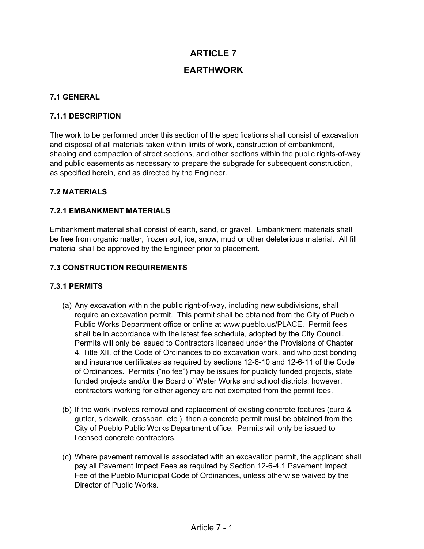# **ARTICLE 7**

# **EARTHWORK**

#### **7.1 GENERAL**

#### **7.1.1 DESCRIPTION**

The work to be performed under this section of the specifications shall consist of excavation and disposal of all materials taken within limits of work, construction of embankment, shaping and compaction of street sections, and other sections within the public rights-of-way and public easements as necessary to prepare the subgrade for subsequent construction, as specified herein, and as directed by the Engineer.

#### **7.2 MATERIALS**

#### **7.2.1 EMBANKMENT MATERIALS**

Embankment material shall consist of earth, sand, or gravel. Embankment materials shall be free from organic matter, frozen soil, ice, snow, mud or other deleterious material. All fill material shall be approved by the Engineer prior to placement.

#### **7.3 CONSTRUCTION REQUIREMENTS**

#### **7.3.1 PERMITS**

- (a) Any excavation within the public right-of-way, including new subdivisions, shall require an excavation permit. This permit shall be obtained from the City of Pueblo Public Works Department office or online at www.pueblo.us/PLACE. Permit fees shall be in accordance with the latest fee schedule, adopted by the City Council. Permits will only be issued to Contractors licensed under the Provisions of Chapter 4, Title XII, of the Code of Ordinances to do excavation work, and who post bonding and insurance certificates as required by sections 12-6-10 and 12-6-11 of the Code of Ordinances. Permits ("no fee") may be issues for publicly funded projects, state funded projects and/or the Board of Water Works and school districts; however, contractors working for either agency are not exempted from the permit fees.
- (b) If the work involves removal and replacement of existing concrete features (curb & gutter, sidewalk, crosspan, etc.), then a concrete permit must be obtained from the City of Pueblo Public Works Department office. Permits will only be issued to licensed concrete contractors.
- (c) Where pavement removal is associated with an excavation permit, the applicant shall pay all Pavement Impact Fees as required by Section 12-6-4.1 Pavement Impact Fee of the Pueblo Municipal Code of Ordinances, unless otherwise waived by the Director of Public Works.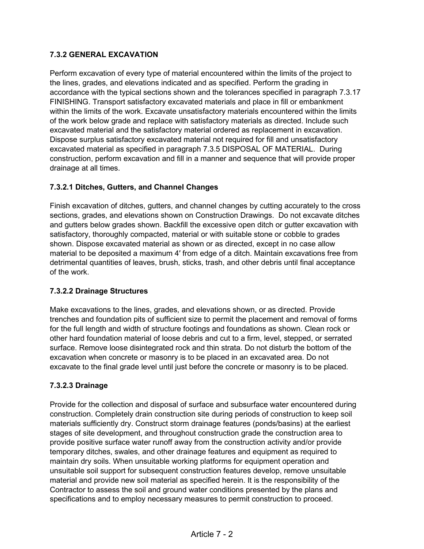### **7.3.2 GENERAL EXCAVATION**

Perform excavation of every type of material encountered within the limits of the project to the lines, grades, and elevations indicated and as specified. Perform the grading in accordance with the typical sections shown and the tolerances specified in paragraph 7.3.17 FINISHING. Transport satisfactory excavated materials and place in fill or embankment within the limits of the work. Excavate unsatisfactory materials encountered within the limits of the work below grade and replace with satisfactory materials as directed. Include such excavated material and the satisfactory material ordered as replacement in excavation. Dispose surplus satisfactory excavated material not required for fill and unsatisfactory excavated material as specified in paragraph 7.3.5 DISPOSAL OF MATERIAL. During construction, perform excavation and fill in a manner and sequence that will provide proper drainage at all times.

# **7.3.2.1 Ditches, Gutters, and Channel Changes**

Finish excavation of ditches, gutters, and channel changes by cutting accurately to the cross sections, grades, and elevations shown on Construction Drawings. Do not excavate ditches and gutters below grades shown. Backfill the excessive open ditch or gutter excavation with satisfactory, thoroughly compacted, material or with suitable stone or cobble to grades shown. Dispose excavated material as shown or as directed, except in no case allow material to be deposited a maximum 4′ from edge of a ditch. Maintain excavations free from detrimental quantities of leaves, brush, sticks, trash, and other debris until final acceptance of the work.

### **7.3.2.2 Drainage Structures**

Make excavations to the lines, grades, and elevations shown, or as directed. Provide trenches and foundation pits of sufficient size to permit the placement and removal of forms for the full length and width of structure footings and foundations as shown. Clean rock or other hard foundation material of loose debris and cut to a firm, level, stepped, or serrated surface. Remove loose disintegrated rock and thin strata. Do not disturb the bottom of the excavation when concrete or masonry is to be placed in an excavated area. Do not excavate to the final grade level until just before the concrete or masonry is to be placed.

### **7.3.2.3 Drainage**

Provide for the collection and disposal of surface and subsurface water encountered during construction. Completely drain construction site during periods of construction to keep soil materials sufficiently dry. Construct storm drainage features (ponds/basins) at the earliest stages of site development, and throughout construction grade the construction area to provide positive surface water runoff away from the construction activity and/or provide temporary ditches, swales, and other drainage features and equipment as required to maintain dry soils. When unsuitable working platforms for equipment operation and unsuitable soil support for subsequent construction features develop, remove unsuitable material and provide new soil material as specified herein. It is the responsibility of the Contractor to assess the soil and ground water conditions presented by the plans and specifications and to employ necessary measures to permit construction to proceed.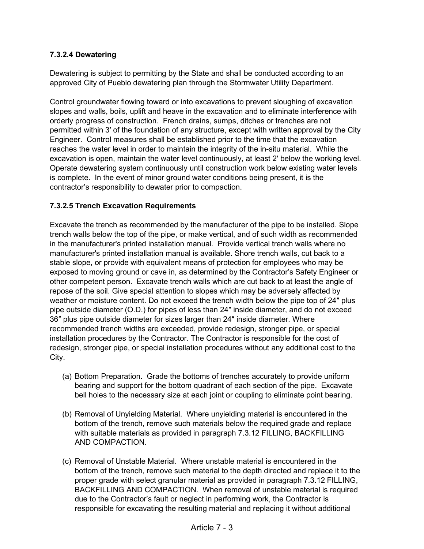# **7.3.2.4 Dewatering**

Dewatering is subject to permitting by the State and shall be conducted according to an approved City of Pueblo dewatering plan through the Stormwater Utility Department.

Control groundwater flowing toward or into excavations to prevent sloughing of excavation slopes and walls, boils, uplift and heave in the excavation and to eliminate interference with orderly progress of construction. French drains, sumps, ditches or trenches are not permitted within 3′ of the foundation of any structure, except with written approval by the City Engineer. Control measures shall be established prior to the time that the excavation reaches the water level in order to maintain the integrity of the in-situ material. While the excavation is open, maintain the water level continuously, at least 2′ below the working level. Operate dewatering system continuously until construction work below existing water levels is complete. In the event of minor ground water conditions being present, it is the contractor's responsibility to dewater prior to compaction.

### **7.3.2.5 Trench Excavation Requirements**

Excavate the trench as recommended by the manufacturer of the pipe to be installed. Slope trench walls below the top of the pipe, or make vertical, and of such width as recommended in the manufacturer's printed installation manual. Provide vertical trench walls where no manufacturer's printed installation manual is available. Shore trench walls, cut back to a stable slope, or provide with equivalent means of protection for employees who may be exposed to moving ground or cave in, as determined by the Contractor's Safety Engineer or other competent person. Excavate trench walls which are cut back to at least the angle of repose of the soil. Give special attention to slopes which may be adversely affected by weather or moisture content. Do not exceed the trench width below the pipe top of 24″ plus pipe outside diameter (O.D.) for pipes of less than 24″ inside diameter, and do not exceed 36″ plus pipe outside diameter for sizes larger than 24″ inside diameter. Where recommended trench widths are exceeded, provide redesign, stronger pipe, or special installation procedures by the Contractor. The Contractor is responsible for the cost of redesign, stronger pipe, or special installation procedures without any additional cost to the City.

- (a) Bottom Preparation. Grade the bottoms of trenches accurately to provide uniform bearing and support for the bottom quadrant of each section of the pipe. Excavate bell holes to the necessary size at each joint or coupling to eliminate point bearing.
- (b) Removal of Unyielding Material. Where unyielding material is encountered in the bottom of the trench, remove such materials below the required grade and replace with suitable materials as provided in paragraph 7.3.12 FILLING, BACKFILLING AND COMPACTION.
- (c) Removal of Unstable Material. Where unstable material is encountered in the bottom of the trench, remove such material to the depth directed and replace it to the proper grade with select granular material as provided in paragraph 7.3.12 FILLING, BACKFILLING AND COMPACTION. When removal of unstable material is required due to the Contractor's fault or neglect in performing work, the Contractor is responsible for excavating the resulting material and replacing it without additional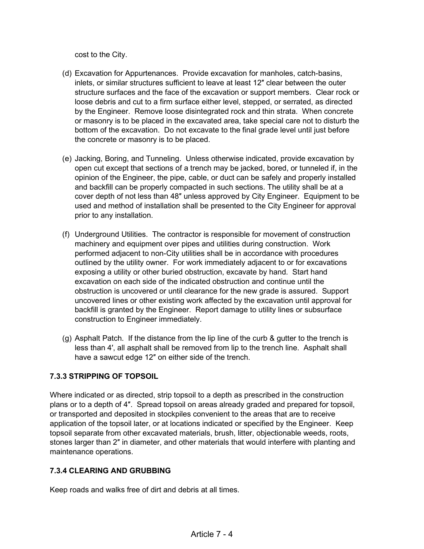cost to the City.

- (d) Excavation for Appurtenances. Provide excavation for manholes, catch-basins, inlets, or similar structures sufficient to leave at least 12″ clear between the outer structure surfaces and the face of the excavation or support members. Clear rock or loose debris and cut to a firm surface either level, stepped, or serrated, as directed by the Engineer. Remove loose disintegrated rock and thin strata. When concrete or masonry is to be placed in the excavated area, take special care not to disturb the bottom of the excavation. Do not excavate to the final grade level until just before the concrete or masonry is to be placed.
- (e) Jacking, Boring, and Tunneling. Unless otherwise indicated, provide excavation by open cut except that sections of a trench may be jacked, bored, or tunneled if, in the opinion of the Engineer, the pipe, cable, or duct can be safely and properly installed and backfill can be properly compacted in such sections. The utility shall be at a cover depth of not less than 48″ unless approved by City Engineer. Equipment to be used and method of installation shall be presented to the City Engineer for approval prior to any installation.
- (f) Underground Utilities. The contractor is responsible for movement of construction machinery and equipment over pipes and utilities during construction. Work performed adjacent to non-City utilities shall be in accordance with procedures outlined by the utility owner. For work immediately adjacent to or for excavations exposing a utility or other buried obstruction, excavate by hand. Start hand excavation on each side of the indicated obstruction and continue until the obstruction is uncovered or until clearance for the new grade is assured. Support uncovered lines or other existing work affected by the excavation until approval for backfill is granted by the Engineer. Report damage to utility lines or subsurface construction to Engineer immediately.
- (g) Asphalt Patch. If the distance from the lip line of the curb & gutter to the trench is less than 4′, all asphalt shall be removed from lip to the trench line. Asphalt shall have a sawcut edge 12″ on either side of the trench.

### **7.3.3 STRIPPING OF TOPSOIL**

Where indicated or as directed, strip topsoil to a depth as prescribed in the construction plans or to a depth of 4″. Spread topsoil on areas already graded and prepared for topsoil, or transported and deposited in stockpiles convenient to the areas that are to receive application of the topsoil later, or at locations indicated or specified by the Engineer. Keep topsoil separate from other excavated materials, brush, litter, objectionable weeds, roots, stones larger than 2″ in diameter, and other materials that would interfere with planting and maintenance operations.

#### **7.3.4 CLEARING AND GRUBBING**

Keep roads and walks free of dirt and debris at all times.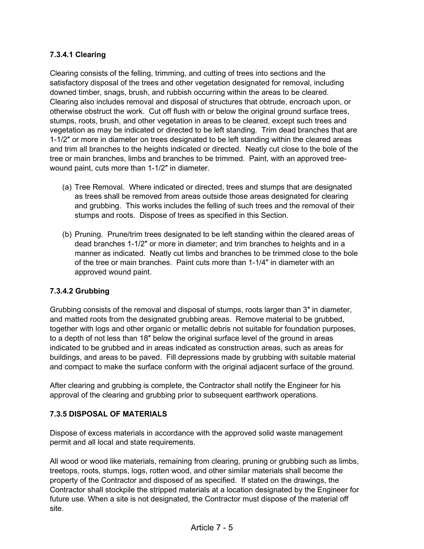### **7.3.4.1 Clearing**

Clearing consists of the felling, trimming, and cutting of trees into sections and the satisfactory disposal of the trees and other vegetation designated for removal, including downed timber, snags, brush, and rubbish occurring within the areas to be cleared. Clearing also includes removal and disposal of structures that obtrude, encroach upon, or otherwise obstruct the work. Cut off flush with or below the original ground surface trees, stumps, roots, brush, and other vegetation in areas to be cleared, except such trees and vegetation as may be indicated or directed to be left standing. Trim dead branches that are 1-1/2″ or more in diameter on trees designated to be left standing within the cleared areas and trim all branches to the heights indicated or directed. Neatly cut close to the bole of the tree or main branches, limbs and branches to be trimmed. Paint, with an approved treewound paint, cuts more than 1-1/2″ in diameter.

- (a) Tree Removal. Where indicated or directed, trees and stumps that are designated as trees shall be removed from areas outside those areas designated for clearing and grubbing. This works includes the felling of such trees and the removal of their stumps and roots. Dispose of trees as specified in this Section.
- (b) Pruning. Prune/trim trees designated to be left standing within the cleared areas of dead branches 1-1/2″ or more in diameter; and trim branches to heights and in a manner as indicated. Neatly cut limbs and branches to be trimmed close to the bole of the tree or main branches. Paint cuts more than 1-1/4″ in diameter with an approved wound paint.

### **7.3.4.2 Grubbing**

Grubbing consists of the removal and disposal of stumps, roots larger than 3″ in diameter, and matted roots from the designated grubbing areas. Remove material to be grubbed, together with logs and other organic or metallic debris not suitable for foundation purposes, to a depth of not less than 18″ below the original surface level of the ground in areas indicated to be grubbed and in areas indicated as construction areas, such as areas for buildings, and areas to be paved. Fill depressions made by grubbing with suitable material and compact to make the surface conform with the original adjacent surface of the ground.

After clearing and grubbing is complete, the Contractor shall notify the Engineer for his approval of the clearing and grubbing prior to subsequent earthwork operations.

#### **7.3.5 DISPOSAL OF MATERIALS**

Dispose of excess materials in accordance with the approved solid waste management permit and all local and state requirements.

All wood or wood like materials, remaining from clearing, pruning or grubbing such as limbs, treetops, roots, stumps, logs, rotten wood, and other similar materials shall become the property of the Contractor and disposed of as specified. If stated on the drawings, the Contractor shall stockpile the stripped materials at a location designated by the Engineer for future use. When a site is not designated, the Contractor must dispose of the material off site.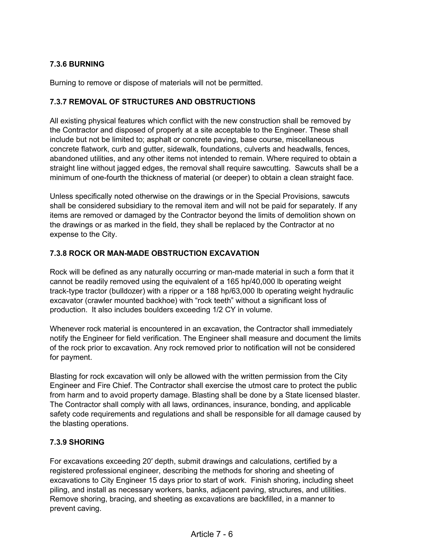# **7.3.6 BURNING**

Burning to remove or dispose of materials will not be permitted.

### **7.3.7 REMOVAL OF STRUCTURES AND OBSTRUCTIONS**

All existing physical features which conflict with the new construction shall be removed by the Contractor and disposed of properly at a site acceptable to the Engineer. These shall include but not be limited to; asphalt or concrete paving, base course, miscellaneous concrete flatwork, curb and gutter, sidewalk, foundations, culverts and headwalls, fences, abandoned utilities, and any other items not intended to remain. Where required to obtain a straight line without jagged edges, the removal shall require sawcutting. Sawcuts shall be a minimum of one-fourth the thickness of material (or deeper) to obtain a clean straight face.

Unless specifically noted otherwise on the drawings or in the Special Provisions, sawcuts shall be considered subsidiary to the removal item and will not be paid for separately. If any items are removed or damaged by the Contractor beyond the limits of demolition shown on the drawings or as marked in the field, they shall be replaced by the Contractor at no expense to the City.

### **7.3.8 ROCK OR MAN-MADE OBSTRUCTION EXCAVATION**

Rock will be defined as any naturally occurring or man-made material in such a form that it cannot be readily removed using the equivalent of a 165 hp/40,000 lb operating weight track-type tractor (bulldozer) with a ripper or a 188 hp/63,000 lb operating weight hydraulic excavator (crawler mounted backhoe) with "rock teeth" without a significant loss of production. It also includes boulders exceeding 1/2 CY in volume.

Whenever rock material is encountered in an excavation, the Contractor shall immediately notify the Engineer for field verification. The Engineer shall measure and document the limits of the rock prior to excavation. Any rock removed prior to notification will not be considered for payment.

Blasting for rock excavation will only be allowed with the written permission from the City Engineer and Fire Chief. The Contractor shall exercise the utmost care to protect the public from harm and to avoid property damage. Blasting shall be done by a State licensed blaster. The Contractor shall comply with all laws, ordinances, insurance, bonding, and applicable safety code requirements and regulations and shall be responsible for all damage caused by the blasting operations.

### **7.3.9 SHORING**

For excavations exceeding 20′ depth, submit drawings and calculations, certified by a registered professional engineer, describing the methods for shoring and sheeting of excavations to City Engineer 15 days prior to start of work. Finish shoring, including sheet piling, and install as necessary workers, banks, adjacent paving, structures, and utilities. Remove shoring, bracing, and sheeting as excavations are backfilled, in a manner to prevent caving.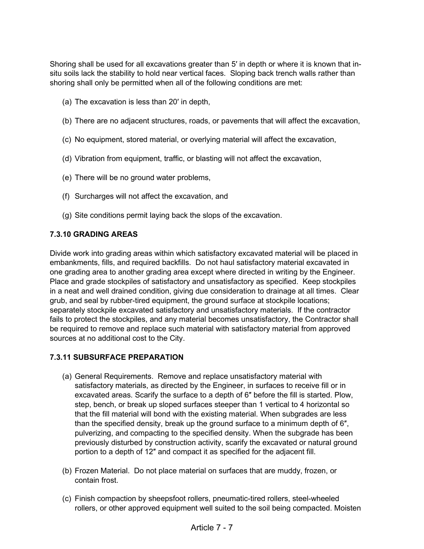Shoring shall be used for all excavations greater than 5′ in depth or where it is known that insitu soils lack the stability to hold near vertical faces. Sloping back trench walls rather than shoring shall only be permitted when all of the following conditions are met:

- (a) The excavation is less than 20′ in depth,
- (b) There are no adjacent structures, roads, or pavements that will affect the excavation,
- (c) No equipment, stored material, or overlying material will affect the excavation,
- (d) Vibration from equipment, traffic, or blasting will not affect the excavation,
- (e) There will be no ground water problems,
- (f) Surcharges will not affect the excavation, and
- (g) Site conditions permit laying back the slops of the excavation.

#### **7.3.10 GRADING AREAS**

Divide work into grading areas within which satisfactory excavated material will be placed in embankments, fills, and required backfills. Do not haul satisfactory material excavated in one grading area to another grading area except where directed in writing by the Engineer. Place and grade stockpiles of satisfactory and unsatisfactory as specified. Keep stockpiles in a neat and well drained condition, giving due consideration to drainage at all times. Clear grub, and seal by rubber-tired equipment, the ground surface at stockpile locations; separately stockpile excavated satisfactory and unsatisfactory materials. If the contractor fails to protect the stockpiles, and any material becomes unsatisfactory, the Contractor shall be required to remove and replace such material with satisfactory material from approved sources at no additional cost to the City.

### **7.3.11 SUBSURFACE PREPARATION**

- (a) General Requirements. Remove and replace unsatisfactory material with satisfactory materials, as directed by the Engineer, in surfaces to receive fill or in excavated areas. Scarify the surface to a depth of 6″ before the fill is started. Plow, step, bench, or break up sloped surfaces steeper than 1 vertical to 4 horizontal so that the fill material will bond with the existing material. When subgrades are less than the specified density, break up the ground surface to a minimum depth of 6″, pulverizing, and compacting to the specified density. When the subgrade has been previously disturbed by construction activity, scarify the excavated or natural ground portion to a depth of 12″ and compact it as specified for the adjacent fill.
- (b) Frozen Material. Do not place material on surfaces that are muddy, frozen, or contain frost.
- (c) Finish compaction by sheepsfoot rollers, pneumatic-tired rollers, steel-wheeled rollers, or other approved equipment well suited to the soil being compacted. Moisten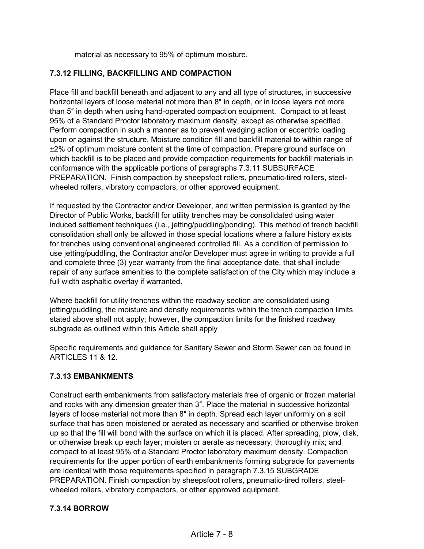material as necessary to 95% of optimum moisture.

#### **7.3.12 FILLING, BACKFILLING AND COMPACTION**

Place fill and backfill beneath and adjacent to any and all type of structures, in successive horizontal layers of loose material not more than 8″ in depth, or in loose layers not more than 5″ in depth when using hand-operated compaction equipment. Compact to at least 95% of a Standard Proctor laboratory maximum density, except as otherwise specified. Perform compaction in such a manner as to prevent wedging action or eccentric loading upon or against the structure. Moisture condition fill and backfill material to within range of ±2% of optimum moisture content at the time of compaction. Prepare ground surface on which backfill is to be placed and provide compaction requirements for backfill materials in conformance with the applicable portions of paragraphs 7.3.11 SUBSURFACE PREPARATION. Finish compaction by sheepsfoot rollers, pneumatic-tired rollers, steelwheeled rollers, vibratory compactors, or other approved equipment.

If requested by the Contractor and/or Developer, and written permission is granted by the Director of Public Works, backfill for utility trenches may be consolidated using water induced settlement techniques (i.e., jetting/puddling/ponding). This method of trench backfill consolidation shall only be allowed in those special locations where a failure history exists for trenches using conventional engineered controlled fill. As a condition of permission to use jetting/puddling, the Contractor and/or Developer must agree in writing to provide a full and complete three (3) year warranty from the final acceptance date, that shall include repair of any surface amenities to the complete satisfaction of the City which may include a full width asphaltic overlay if warranted.

Where backfill for utility trenches within the roadway section are consolidated using jetting/puddling, the moisture and density requirements within the trench compaction limits stated above shall not apply; however, the compaction limits for the finished roadway subgrade as outlined within this Article shall apply

Specific requirements and guidance for Sanitary Sewer and Storm Sewer can be found in ARTICLES 11 & 12.

### **7.3.13 EMBANKMENTS**

Construct earth embankments from satisfactory materials free of organic or frozen material and rocks with any dimension greater than 3″. Place the material in successive horizontal layers of loose material not more than 8″ in depth. Spread each layer uniformly on a soil surface that has been moistened or aerated as necessary and scarified or otherwise broken up so that the fill will bond with the surface on which it is placed. After spreading, plow, disk, or otherwise break up each layer; moisten or aerate as necessary; thoroughly mix; and compact to at least 95% of a Standard Proctor laboratory maximum density. Compaction requirements for the upper portion of earth embankments forming subgrade for pavements are identical with those requirements specified in paragraph 7.3.15 SUBGRADE PREPARATION. Finish compaction by sheepsfoot rollers, pneumatic-tired rollers, steelwheeled rollers, vibratory compactors, or other approved equipment.

#### **7.3.14 BORROW**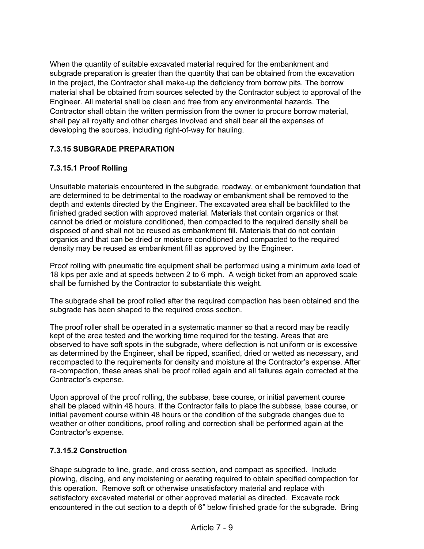When the quantity of suitable excavated material required for the embankment and subgrade preparation is greater than the quantity that can be obtained from the excavation in the project, the Contractor shall make-up the deficiency from borrow pits. The borrow material shall be obtained from sources selected by the Contractor subject to approval of the Engineer. All material shall be clean and free from any environmental hazards. The Contractor shall obtain the written permission from the owner to procure borrow material, shall pay all royalty and other charges involved and shall bear all the expenses of developing the sources, including right-of-way for hauling.

### **7.3.15 SUBGRADE PREPARATION**

# **7.3.15.1 Proof Rolling**

Unsuitable materials encountered in the subgrade, roadway, or embankment foundation that are determined to be detrimental to the roadway or embankment shall be removed to the depth and extents directed by the Engineer. The excavated area shall be backfilled to the finished graded section with approved material. Materials that contain organics or that cannot be dried or moisture conditioned, then compacted to the required density shall be disposed of and shall not be reused as embankment fill. Materials that do not contain organics and that can be dried or moisture conditioned and compacted to the required density may be reused as embankment fill as approved by the Engineer.

Proof rolling with pneumatic tire equipment shall be performed using a minimum axle load of 18 kips per axle and at speeds between 2 to 6 mph. A weigh ticket from an approved scale shall be furnished by the Contractor to substantiate this weight.

The subgrade shall be proof rolled after the required compaction has been obtained and the subgrade has been shaped to the required cross section.

The proof roller shall be operated in a systematic manner so that a record may be readily kept of the area tested and the working time required for the testing. Areas that are observed to have soft spots in the subgrade, where deflection is not uniform or is excessive as determined by the Engineer, shall be ripped, scarified, dried or wetted as necessary, and recompacted to the requirements for density and moisture at the Contractor's expense. After re-compaction, these areas shall be proof rolled again and all failures again corrected at the Contractor's expense.

Upon approval of the proof rolling, the subbase, base course, or initial pavement course shall be placed within 48 hours. If the Contractor fails to place the subbase, base course, or initial pavement course within 48 hours or the condition of the subgrade changes due to weather or other conditions, proof rolling and correction shall be performed again at the Contractor's expense.

### **7.3.15.2 Construction**

Shape subgrade to line, grade, and cross section, and compact as specified. Include plowing, discing, and any moistening or aerating required to obtain specified compaction for this operation. Remove soft or otherwise unsatisfactory material and replace with satisfactory excavated material or other approved material as directed. Excavate rock encountered in the cut section to a depth of 6″ below finished grade for the subgrade. Bring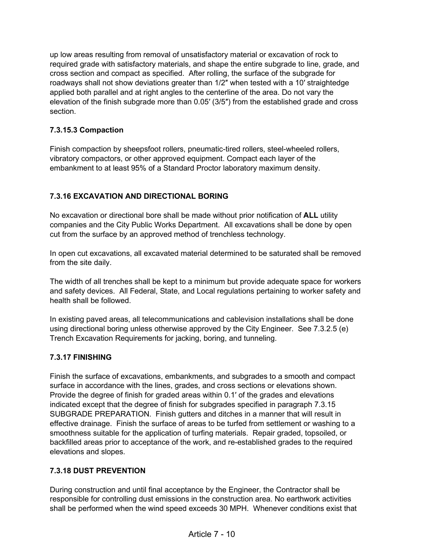up low areas resulting from removal of unsatisfactory material or excavation of rock to required grade with satisfactory materials, and shape the entire subgrade to line, grade, and cross section and compact as specified. After rolling, the surface of the subgrade for roadways shall not show deviations greater than 1/2″ when tested with a 10′ straightedge applied both parallel and at right angles to the centerline of the area. Do not vary the elevation of the finish subgrade more than 0.05′ (3/5″) from the established grade and cross section.

# **7.3.15.3 Compaction**

Finish compaction by sheepsfoot rollers, pneumatic-tired rollers, steel-wheeled rollers, vibratory compactors, or other approved equipment. Compact each layer of the embankment to at least 95% of a Standard Proctor laboratory maximum density.

# **7.3.16 EXCAVATION AND DIRECTIONAL BORING**

No excavation or directional bore shall be made without prior notification of **ALL** utility companies and the City Public Works Department. All excavations shall be done by open cut from the surface by an approved method of trenchless technology.

In open cut excavations, all excavated material determined to be saturated shall be removed from the site daily.

The width of all trenches shall be kept to a minimum but provide adequate space for workers and safety devices. All Federal, State, and Local regulations pertaining to worker safety and health shall be followed.

In existing paved areas, all telecommunications and cablevision installations shall be done using directional boring unless otherwise approved by the City Engineer. See 7.3.2.5 (e) Trench Excavation Requirements for jacking, boring, and tunneling.

### **7.3.17 FINISHING**

Finish the surface of excavations, embankments, and subgrades to a smooth and compact surface in accordance with the lines, grades, and cross sections or elevations shown. Provide the degree of finish for graded areas within 0.1′ of the grades and elevations indicated except that the degree of finish for subgrades specified in paragraph 7.3.15 SUBGRADE PREPARATION. Finish gutters and ditches in a manner that will result in effective drainage. Finish the surface of areas to be turfed from settlement or washing to a smoothness suitable for the application of turfing materials. Repair graded, topsoiled, or backfilled areas prior to acceptance of the work, and re-established grades to the required elevations and slopes.

### **7.3.18 DUST PREVENTION**

During construction and until final acceptance by the Engineer, the Contractor shall be responsible for controlling dust emissions in the construction area. No earthwork activities shall be performed when the wind speed exceeds 30 MPH. Whenever conditions exist that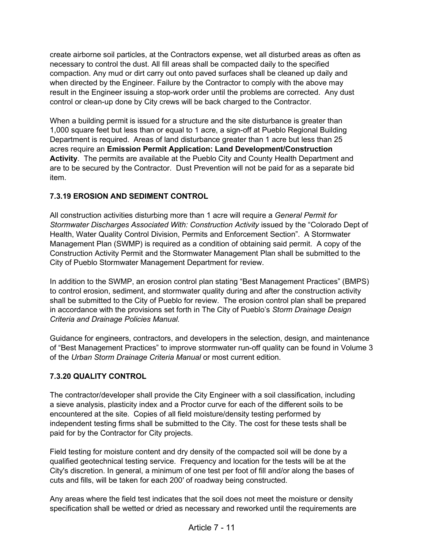create airborne soil particles, at the Contractors expense, wet all disturbed areas as often as necessary to control the dust. All fill areas shall be compacted daily to the specified compaction. Any mud or dirt carry out onto paved surfaces shall be cleaned up daily and when directed by the Engineer. Failure by the Contractor to comply with the above may result in the Engineer issuing a stop-work order until the problems are corrected. Any dust control or clean-up done by City crews will be back charged to the Contractor.

When a building permit is issued for a structure and the site disturbance is greater than 1,000 square feet but less than or equal to 1 acre, a sign-off at Pueblo Regional Building Department is required. Areas of land disturbance greater than 1 acre but less than 25 acres require an **Emission Permit Application: Land Development/Construction Activity**. The permits are available at the Pueblo City and County Health Department and are to be secured by the Contractor. Dust Prevention will not be paid for as a separate bid item.

# **7.3.19 EROSION AND SEDIMENT CONTROL**

All construction activities disturbing more than 1 acre will require a *General Permit for Stormwater Discharges Associated With: Construction Activity* issued by the "Colorado Dept of Health, Water Quality Control Division, Permits and Enforcement Section". A Stormwater Management Plan (SWMP) is required as a condition of obtaining said permit. A copy of the Construction Activity Permit and the Stormwater Management Plan shall be submitted to the City of Pueblo Stormwater Management Department for review.

In addition to the SWMP, an erosion control plan stating "Best Management Practices" (BMPS) to control erosion, sediment, and stormwater quality during and after the construction activity shall be submitted to the City of Pueblo for review. The erosion control plan shall be prepared in accordance with the provisions set forth in The City of Pueblo's *Storm Drainage Design Criteria and Drainage Policies Manual.*

Guidance for engineers, contractors, and developers in the selection, design, and maintenance of "Best Management Practices" to improve stormwater run-off quality can be found in Volume 3 of the *Urban Storm Drainage Criteria Manual* or most current edition.

### **7.3.20 QUALITY CONTROL**

The contractor/developer shall provide the City Engineer with a soil classification, including a sieve analysis, plasticity index and a Proctor curve for each of the different soils to be encountered at the site. Copies of all field moisture/density testing performed by independent testing firms shall be submitted to the City. The cost for these tests shall be paid for by the Contractor for City projects.

Field testing for moisture content and dry density of the compacted soil will be done by a qualified geotechnical testing service. Frequency and location for the tests will be at the City's discretion. In general, a minimum of one test per foot of fill and/or along the bases of cuts and fills, will be taken for each 200′ of roadway being constructed.

Any areas where the field test indicates that the soil does not meet the moisture or density specification shall be wetted or dried as necessary and reworked until the requirements are